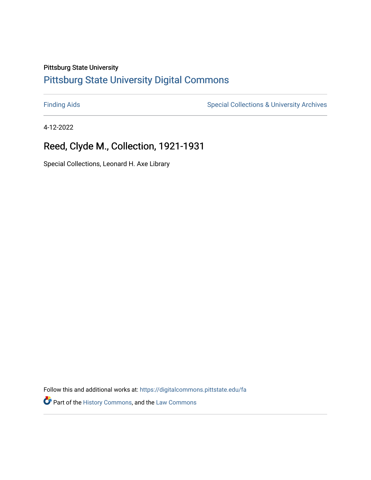## Pittsburg State University

# [Pittsburg State University Digital Commons](https://digitalcommons.pittstate.edu/)

[Finding Aids](https://digitalcommons.pittstate.edu/fa) **Special Collections & University Archives** Special Collections & University Archives

4-12-2022

# Reed, Clyde M., Collection, 1921-1931

Special Collections, Leonard H. Axe Library

Follow this and additional works at: [https://digitalcommons.pittstate.edu/fa](https://digitalcommons.pittstate.edu/fa?utm_source=digitalcommons.pittstate.edu%2Ffa%2F403&utm_medium=PDF&utm_campaign=PDFCoverPages) 

Part of the [History Commons,](http://network.bepress.com/hgg/discipline/489?utm_source=digitalcommons.pittstate.edu%2Ffa%2F403&utm_medium=PDF&utm_campaign=PDFCoverPages) and the [Law Commons](http://network.bepress.com/hgg/discipline/578?utm_source=digitalcommons.pittstate.edu%2Ffa%2F403&utm_medium=PDF&utm_campaign=PDFCoverPages)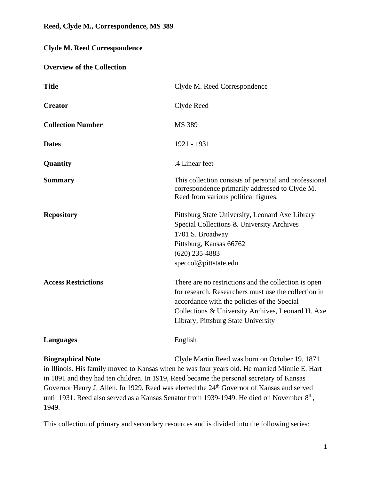# **Clyde M. Reed Correspondence**

#### **Overview of the Collection**

| <b>Title</b>               | Clyde M. Reed Correspondence                                                                                                                                                                                                                            |
|----------------------------|---------------------------------------------------------------------------------------------------------------------------------------------------------------------------------------------------------------------------------------------------------|
| <b>Creator</b>             | Clyde Reed                                                                                                                                                                                                                                              |
| <b>Collection Number</b>   | MS 389                                                                                                                                                                                                                                                  |
| <b>Dates</b>               | 1921 - 1931                                                                                                                                                                                                                                             |
| Quantity                   | .4 Linear feet                                                                                                                                                                                                                                          |
| <b>Summary</b>             | This collection consists of personal and professional<br>correspondence primarily addressed to Clyde M.<br>Reed from various political figures.                                                                                                         |
| <b>Repository</b>          | Pittsburg State University, Leonard Axe Library<br>Special Collections & University Archives<br>1701 S. Broadway<br>Pittsburg, Kansas 66762<br>$(620)$ 235-4883<br>speccol@pittstate.edu                                                                |
| <b>Access Restrictions</b> | There are no restrictions and the collection is open<br>for research. Researchers must use the collection in<br>accordance with the policies of the Special<br>Collections & University Archives, Leonard H. Axe<br>Library, Pittsburg State University |
| <b>Languages</b>           | English                                                                                                                                                                                                                                                 |
| <b>Biographical Note</b>   | Clyde Martin Reed was born on October 19, 1871                                                                                                                                                                                                          |

in Illinois. His family moved to Kansas when he was four years old. He married Minnie E. Hart in 1891 and they had ten children. In 1919, Reed became the personal secretary of Kansas Governor Henry J. Allen. In 1929, Reed was elected the 24<sup>th</sup> Governor of Kansas and served until 1931. Reed also served as a Kansas Senator from 1939-1949. He died on November 8<sup>th</sup>, 1949.

This collection of primary and secondary resources and is divided into the following series: